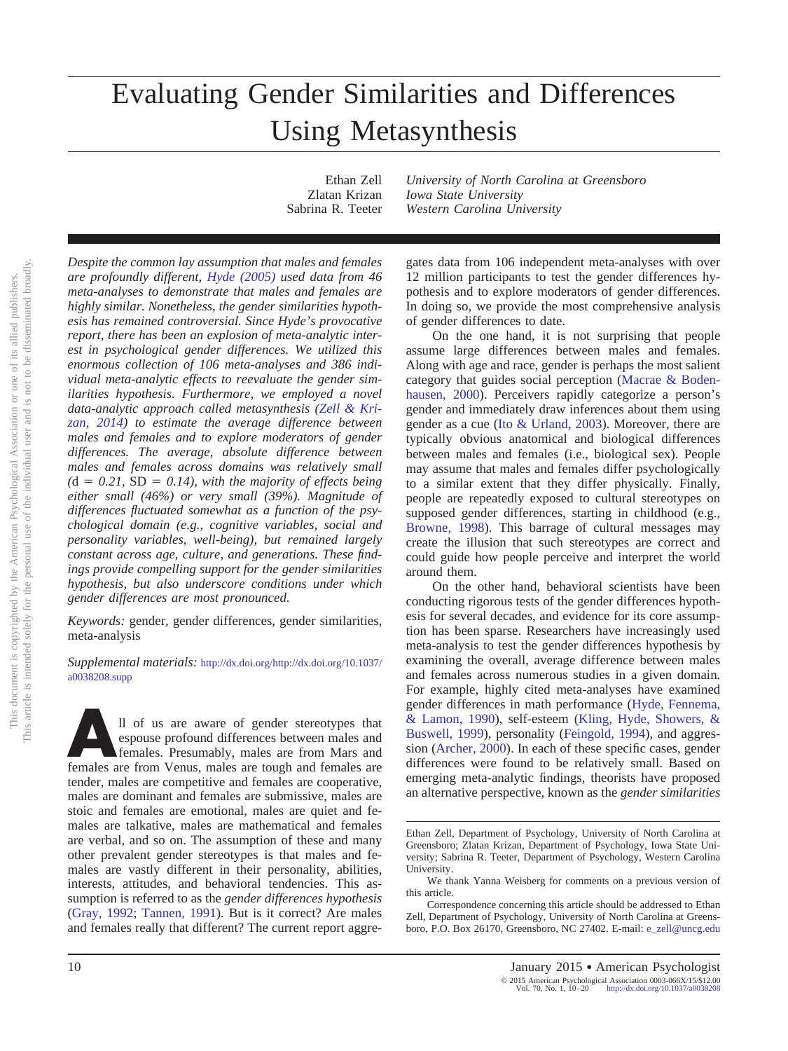# Evaluating Gender Similarities and Differences Using Metasynthesis

Ethan Zell *University of North Carolina at Greensboro* Zlatan Krizan *Iowa State University* Sabrina R. Teeter *Western Carolina University*

*Despite the common lay assumption that males and females are profoundly different, [Hyde \(2005\)](#page-9-0) used data from 46 meta-analyses to demonstrate that males and females are highly similar. Nonetheless, the gender similarities hypothesis has remained controversial. Since Hyde's provocative report, there has been an explosion of meta-analytic interest in psychological gender differences. We utilized this enormous collection of 106 meta-analyses and 386 individual meta-analytic effects to reevaluate the gender similarities hypothesis. Furthermore, we employed a novel data-analytic approach called metasynthesis [\(Zell & Kri](#page-10-0)[zan, 2014\)](#page-10-0) to estimate the average difference between males and females and to explore moderators of gender differences. The average, absolute difference between males and females across domains was relatively small*  $(d = 0.21, SD = 0.14)$ , with the majority of effects being *either small (46%) or very small (39%). Magnitude of differences fluctuated somewhat as a function of the psychological domain (e.g., cognitive variables, social and personality variables, well-being), but remained largely constant across age, culture, and generations. These findings provide compelling support for the gender similarities hypothesis, but also underscore conditions under which gender differences are most pronounced.*

*Keywords:* gender, gender differences, gender similarities, meta-analysis

*Supplemental materials:* http://dx.doi.org[/http://dx.doi.org/10.1037/](http://dx.doi.org/10.1037/a0038208.supp) [a0038208.supp](http://dx.doi.org/10.1037/a0038208.supp)

<sup>11</sup> of us are aware of gender stereotypes that espouse profound differences between males and females are from Venus, males are tough and females are  $\frac{1}{2}$ espouse profound differences between males and females. Presumably, males are from Mars and tender, males are competitive and females are cooperative, males are dominant and females are submissive, males are stoic and females are emotional, males are quiet and females are talkative, males are mathematical and females are verbal, and so on. The assumption of these and many other prevalent gender stereotypes is that males and females are vastly different in their personality, abilities, interests, attitudes, and behavioral tendencies. This assumption is referred to as the *gender differences hypothesis* [\(Gray, 1992;](#page-9-1) [Tannen, 1991\)](#page-10-1). But is it correct? Are males and females really that different? The current report aggregates data from 106 independent meta-analyses with over 12 million participants to test the gender differences hypothesis and to explore moderators of gender differences. In doing so, we provide the most comprehensive analysis of gender differences to date.

On the one hand, it is not surprising that people assume large differences between males and females. Along with age and race, gender is perhaps the most salient category that guides social perception [\(Macrae & Boden](#page-9-2)[hausen, 2000\)](#page-9-2). Perceivers rapidly categorize a person's gender and immediately draw inferences about them using gender as a cue [\(Ito & Urland, 2003\)](#page-9-3). Moreover, there are typically obvious anatomical and biological differences between males and females (i.e., biological sex). People may assume that males and females differ psychologically to a similar extent that they differ physically. Finally, people are repeatedly exposed to cultural stereotypes on supposed gender differences, starting in childhood (e.g., [Browne, 1998\)](#page-9-4). This barrage of cultural messages may create the illusion that such stereotypes are correct and could guide how people perceive and interpret the world around them.

On the other hand, behavioral scientists have been conducting rigorous tests of the gender differences hypothesis for several decades, and evidence for its core assumption has been sparse. Researchers have increasingly used meta-analysis to test the gender differences hypothesis by examining the overall, average difference between males and females across numerous studies in a given domain. For example, highly cited meta-analyses have examined gender differences in math performance [\(Hyde, Fennema,](#page-9-5) [& Lamon, 1990\)](#page-9-5), self-esteem [\(Kling, Hyde, Showers, &](#page-9-6) [Buswell, 1999\)](#page-9-6), personality [\(Feingold, 1994\)](#page-9-7), and aggression [\(Archer, 2000\)](#page-8-0). In each of these specific cases, gender differences were found to be relatively small. Based on emerging meta-analytic findings, theorists have proposed an alternative perspective, known as the *gender similarities*

Ethan Zell, Department of Psychology, University of North Carolina at Greensboro; Zlatan Krizan, Department of Psychology, Iowa State University; Sabrina R. Teeter, Department of Psychology, Western Carolina University.

We thank Yanna Weisberg for comments on a previous version of this article.

Correspondence concerning this article should be addressed to Ethan Zell, Department of Psychology, University of North Carolina at Greensboro, P.O. Box 26170, Greensboro, NC 27402. E-mail: [e\\_zell@uncg.edu](mailto:e_zell@uncg.edu)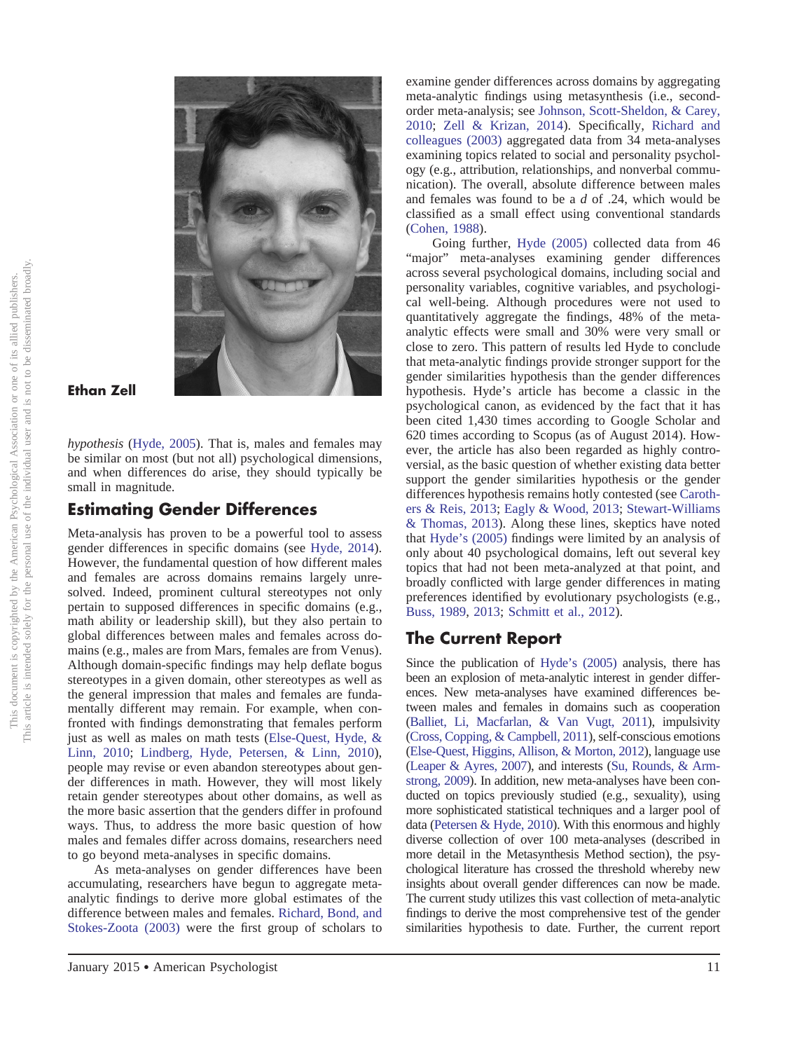

# **Ethan Zell**

*hypothesis* [\(Hyde, 2005\)](#page-9-0). That is, males and females may be similar on most (but not all) psychological dimensions, and when differences do arise, they should typically be small in magnitude.

# **Estimating Gender Differences**

Meta-analysis has proven to be a powerful tool to assess gender differences in specific domains (see [Hyde, 2014\)](#page-9-8). However, the fundamental question of how different males and females are across domains remains largely unresolved. Indeed, prominent cultural stereotypes not only pertain to supposed differences in specific domains (e.g., math ability or leadership skill), but they also pertain to global differences between males and females across domains (e.g., males are from Mars, females are from Venus). Although domain-specific findings may help deflate bogus stereotypes in a given domain, other stereotypes as well as the general impression that males and females are fundamentally different may remain. For example, when confronted with findings demonstrating that females perform just as well as males on math tests [\(Else-Quest, Hyde, &](#page-9-9) [Linn, 2010;](#page-9-9) [Lindberg, Hyde, Petersen, & Linn, 2010\)](#page-9-10), people may revise or even abandon stereotypes about gender differences in math. However, they will most likely retain gender stereotypes about other domains, as well as the more basic assertion that the genders differ in profound ways. Thus, to address the more basic question of how males and females differ across domains, researchers need to go beyond meta-analyses in specific domains.

As meta-analyses on gender differences have been accumulating, researchers have begun to aggregate metaanalytic findings to derive more global estimates of the difference between males and females. [Richard, Bond, and](#page-9-11) [Stokes-Zoota \(2003\)](#page-9-11) were the first group of scholars to

examine gender differences across domains by aggregating meta-analytic findings using metasynthesis (i.e., secondorder meta-analysis; see [Johnson, Scott-Sheldon, & Carey,](#page-9-12) [2010;](#page-9-12) [Zell & Krizan, 2014\)](#page-10-0). Specifically, [Richard and](#page-9-11) [colleagues \(2003\)](#page-9-11) aggregated data from 34 meta-analyses examining topics related to social and personality psychology (e.g., attribution, relationships, and nonverbal communication). The overall, absolute difference between males and females was found to be a *d* of .24, which would be classified as a small effect using conventional standards [\(Cohen, 1988\)](#page-9-13).

Going further, [Hyde \(2005\)](#page-9-0) collected data from 46 "major" meta-analyses examining gender differences across several psychological domains, including social and personality variables, cognitive variables, and psychological well-being. Although procedures were not used to quantitatively aggregate the findings, 48% of the metaanalytic effects were small and 30% were very small or close to zero. This pattern of results led Hyde to conclude that meta-analytic findings provide stronger support for the gender similarities hypothesis than the gender differences hypothesis. Hyde's article has become a classic in the psychological canon, as evidenced by the fact that it has been cited 1,430 times according to Google Scholar and 620 times according to Scopus (as of August 2014). However, the article has also been regarded as highly controversial, as the basic question of whether existing data better support the gender similarities hypothesis or the gender differences hypothesis remains hotly contested (see [Caroth](#page-9-14)[ers & Reis, 2013;](#page-9-14) [Eagly & Wood, 2013;](#page-9-15) [Stewart-Williams](#page-10-2) [& Thomas, 2013\)](#page-10-2). Along these lines, skeptics have noted that [Hyde's \(2005\)](#page-9-0) findings were limited by an analysis of only about 40 psychological domains, left out several key topics that had not been meta-analyzed at that point, and broadly conflicted with large gender differences in mating preferences identified by evolutionary psychologists (e.g., [Buss, 1989,](#page-9-16) [2013;](#page-9-17) [Schmitt et al., 2012\)](#page-9-18).

# **The Current Report**

Since the publication of [Hyde's \(2005\)](#page-9-0) analysis, there has been an explosion of meta-analytic interest in gender differences. New meta-analyses have examined differences between males and females in domains such as cooperation [\(Balliet, Li, Macfarlan, & Van Vugt, 2011\)](#page-8-1), impulsivity [\(Cross, Copping, & Campbell, 2011\)](#page-9-19), self-conscious emotions [\(Else-Quest, Higgins, Allison, & Morton, 2012\)](#page-9-20), language use [\(Leaper & Ayres, 2007\)](#page-9-21), and interests [\(Su, Rounds, & Arm](#page-10-3)[strong, 2009\)](#page-10-3). In addition, new meta-analyses have been conducted on topics previously studied (e.g., sexuality), using more sophisticated statistical techniques and a larger pool of data [\(Petersen & Hyde, 2010\)](#page-9-22). With this enormous and highly diverse collection of over 100 meta-analyses (described in more detail in the Metasynthesis Method section), the psychological literature has crossed the threshold whereby new insights about overall gender differences can now be made. The current study utilizes this vast collection of meta-analytic findings to derive the most comprehensive test of the gender similarities hypothesis to date. Further, the current report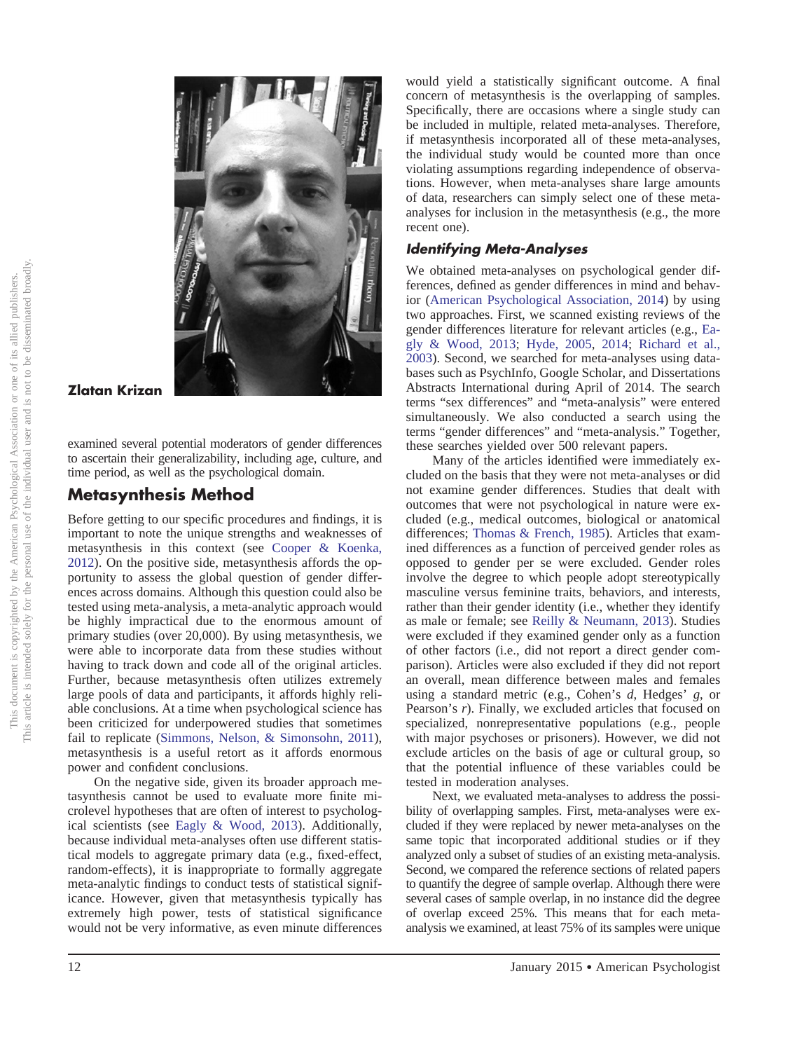

#### **Zlatan Krizan**

examined several potential moderators of gender differences to ascertain their generalizability, including age, culture, and time period, as well as the psychological domain.

# **Metasynthesis Method**

Before getting to our specific procedures and findings, it is important to note the unique strengths and weaknesses of metasynthesis in this context (see [Cooper & Koenka,](#page-9-23) [2012\)](#page-9-23). On the positive side, metasynthesis affords the opportunity to assess the global question of gender differences across domains. Although this question could also be tested using meta-analysis, a meta-analytic approach would be highly impractical due to the enormous amount of primary studies (over 20,000). By using metasynthesis, we were able to incorporate data from these studies without having to track down and code all of the original articles. Further, because metasynthesis often utilizes extremely large pools of data and participants, it affords highly reliable conclusions. At a time when psychological science has been criticized for underpowered studies that sometimes fail to replicate [\(Simmons, Nelson, & Simonsohn, 2011\)](#page-9-24), metasynthesis is a useful retort as it affords enormous power and confident conclusions.

On the negative side, given its broader approach metasynthesis cannot be used to evaluate more finite microlevel hypotheses that are often of interest to psychological scientists (see [Eagly & Wood, 2013\)](#page-9-15). Additionally, because individual meta-analyses often use different statistical models to aggregate primary data (e.g., fixed-effect, random-effects), it is inappropriate to formally aggregate meta-analytic findings to conduct tests of statistical significance. However, given that metasynthesis typically has extremely high power, tests of statistical significance would not be very informative, as even minute differences

would yield a statistically significant outcome. A final concern of metasynthesis is the overlapping of samples. Specifically, there are occasions where a single study can be included in multiple, related meta-analyses. Therefore, if metasynthesis incorporated all of these meta-analyses, the individual study would be counted more than once violating assumptions regarding independence of observations. However, when meta-analyses share large amounts of data, researchers can simply select one of these metaanalyses for inclusion in the metasynthesis (e.g., the more recent one).

# *Identifying Meta-Analyses*

We obtained meta-analyses on psychological gender differences, defined as gender differences in mind and behavior [\(American Psychological Association, 2014\)](#page-8-2) by using two approaches. First, we scanned existing reviews of the gender differences literature for relevant articles (e.g., [Ea](#page-9-15)[gly & Wood, 2013;](#page-9-15) [Hyde, 2005,](#page-9-0) [2014;](#page-9-8) [Richard et al.,](#page-9-11) [2003\)](#page-9-11). Second, we searched for meta-analyses using databases such as PsychInfo, Google Scholar, and Dissertations Abstracts International during April of 2014. The search terms "sex differences" and "meta-analysis" were entered simultaneously. We also conducted a search using the terms "gender differences" and "meta-analysis." Together, these searches yielded over 500 relevant papers.

Many of the articles identified were immediately excluded on the basis that they were not meta-analyses or did not examine gender differences. Studies that dealt with outcomes that were not psychological in nature were excluded (e.g., medical outcomes, biological or anatomical differences; [Thomas & French, 1985\)](#page-10-4). Articles that examined differences as a function of perceived gender roles as opposed to gender per se were excluded. Gender roles involve the degree to which people adopt stereotypically masculine versus feminine traits, behaviors, and interests, rather than their gender identity (i.e., whether they identify as male or female; see [Reilly & Neumann, 2013\)](#page-9-25). Studies were excluded if they examined gender only as a function of other factors (i.e., did not report a direct gender comparison). Articles were also excluded if they did not report an overall, mean difference between males and females using a standard metric (e.g., Cohen's *d*, Hedges' *g*, or Pearson's *r*). Finally, we excluded articles that focused on specialized, nonrepresentative populations (e.g., people with major psychoses or prisoners). However, we did not exclude articles on the basis of age or cultural group, so that the potential influence of these variables could be tested in moderation analyses.

Next, we evaluated meta-analyses to address the possibility of overlapping samples. First, meta-analyses were excluded if they were replaced by newer meta-analyses on the same topic that incorporated additional studies or if they analyzed only a subset of studies of an existing meta-analysis. Second, we compared the reference sections of related papers to quantify the degree of sample overlap. Although there were several cases of sample overlap, in no instance did the degree of overlap exceed 25%. This means that for each metaanalysis we examined, at least 75% of its samples were unique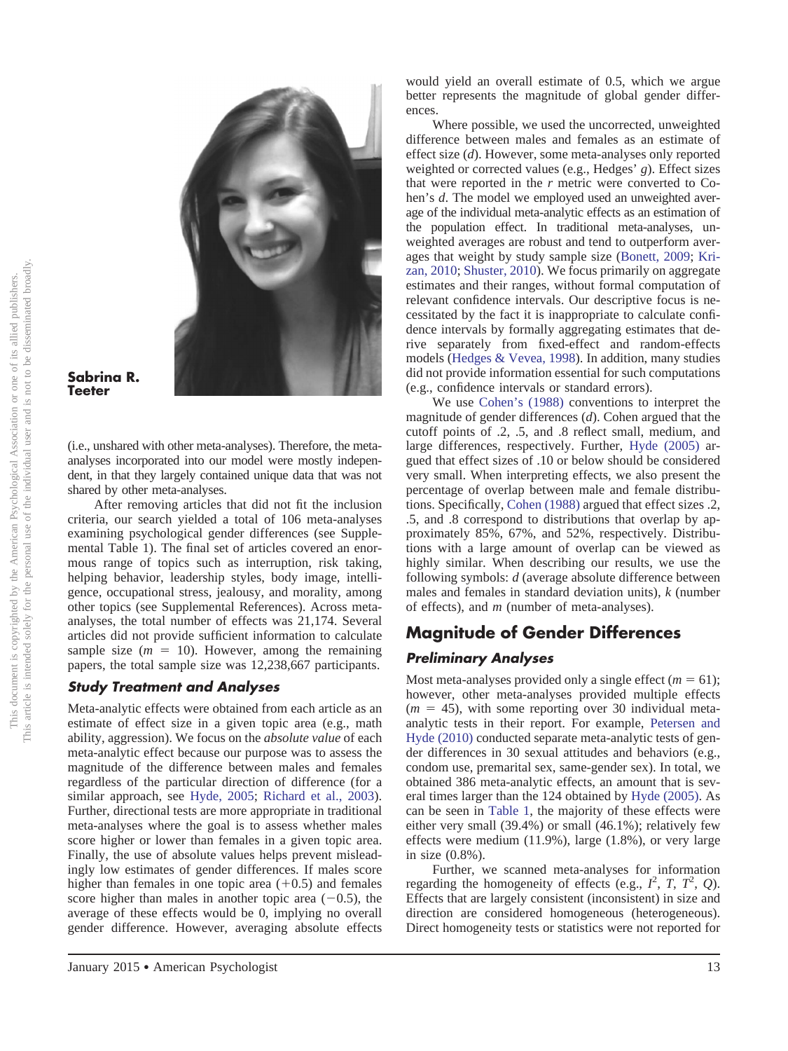

#### **Sabrina R. Teeter**

(i.e., unshared with other meta-analyses). Therefore, the metaanalyses incorporated into our model were mostly independent, in that they largely contained unique data that was not shared by other meta-analyses.

After removing articles that did not fit the inclusion criteria, our search yielded a total of 106 meta-analyses examining psychological gender differences (see Supplemental Table 1). The final set of articles covered an enormous range of topics such as interruption, risk taking, helping behavior, leadership styles, body image, intelligence, occupational stress, jealousy, and morality, among other topics (see Supplemental References). Across metaanalyses, the total number of effects was 21,174. Several articles did not provide sufficient information to calculate sample size  $(m = 10)$ . However, among the remaining papers, the total sample size was 12,238,667 participants.

# *Study Treatment and Analyses*

Meta-analytic effects were obtained from each article as an estimate of effect size in a given topic area (e.g., math ability, aggression). We focus on the *absolute value* of each meta-analytic effect because our purpose was to assess the magnitude of the difference between males and females regardless of the particular direction of difference (for a similar approach, see [Hyde, 2005;](#page-9-0) [Richard et al., 2003\)](#page-9-11). Further, directional tests are more appropriate in traditional meta-analyses where the goal is to assess whether males score higher or lower than females in a given topic area. Finally, the use of absolute values helps prevent misleadingly low estimates of gender differences. If males score higher than females in one topic area  $(+0.5)$  and females score higher than males in another topic area  $(-0.5)$ , the average of these effects would be 0, implying no overall gender difference. However, averaging absolute effects

would yield an overall estimate of 0.5, which we argue better represents the magnitude of global gender differences.

Where possible, we used the uncorrected, unweighted difference between males and females as an estimate of effect size (*d*). However, some meta-analyses only reported weighted or corrected values (e.g., Hedges' *g*). Effect sizes that were reported in the *r* metric were converted to Cohen's *d*. The model we employed used an unweighted average of the individual meta-analytic effects as an estimation of the population effect. In traditional meta-analyses, unweighted averages are robust and tend to outperform averages that weight by study sample size [\(Bonett, 2009;](#page-8-3) [Kri](#page-9-26)[zan, 2010;](#page-9-26) [Shuster, 2010\)](#page-9-27). We focus primarily on aggregate estimates and their ranges, without formal computation of relevant confidence intervals. Our descriptive focus is necessitated by the fact it is inappropriate to calculate confidence intervals by formally aggregating estimates that derive separately from fixed-effect and random-effects models [\(Hedges & Vevea, 1998\)](#page-9-28). In addition, many studies did not provide information essential for such computations (e.g., confidence intervals or standard errors).

We use [Cohen's \(1988\)](#page-9-13) conventions to interpret the magnitude of gender differences (*d*). Cohen argued that the cutoff points of .2, .5, and .8 reflect small, medium, and large differences, respectively. Further, [Hyde \(2005\)](#page-9-0) argued that effect sizes of .10 or below should be considered very small. When interpreting effects, we also present the percentage of overlap between male and female distributions. Specifically, [Cohen \(1988\)](#page-9-13) argued that effect sizes .2, .5, and .8 correspond to distributions that overlap by approximately 85%, 67%, and 52%, respectively. Distributions with a large amount of overlap can be viewed as highly similar. When describing our results, we use the following symbols: *d* (average absolute difference between males and females in standard deviation units), *k* (number of effects), and *m* (number of meta-analyses).

# **Magnitude of Gender Differences**

# *Preliminary Analyses*

Most meta-analyses provided only a single effect  $(m = 61)$ ; however, other meta-analyses provided multiple effects  $(m = 45)$ , with some reporting over 30 individual metaanalytic tests in their report. For example, [Petersen and](#page-9-22) [Hyde \(2010\)](#page-9-22) conducted separate meta-analytic tests of gender differences in 30 sexual attitudes and behaviors (e.g., condom use, premarital sex, same-gender sex). In total, we obtained 386 meta-analytic effects, an amount that is several times larger than the 124 obtained by [Hyde \(2005\).](#page-9-0) As can be seen in [Table 1,](#page-4-0) the majority of these effects were either very small (39.4%) or small (46.1%); relatively few effects were medium (11.9%), large (1.8%), or very large in size (0.8%).

Further, we scanned meta-analyses for information regarding the homogeneity of effects (e.g.,  $I^2$ ,  $T$ ,  $T^2$ ,  $Q$ ). Effects that are largely consistent (inconsistent) in size and direction are considered homogeneous (heterogeneous). Direct homogeneity tests or statistics were not reported for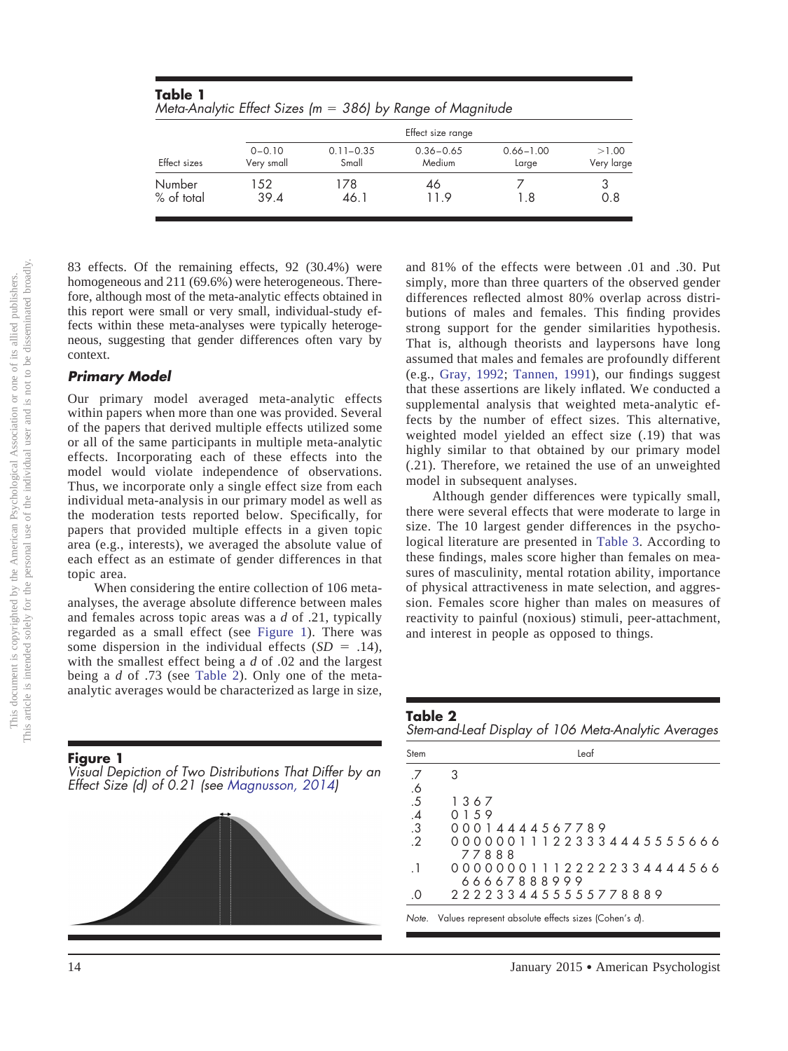| Meta-Analytic Effect Sizes ( $m = 386$ ) by Range of Magnitude |                          |                        |                         |                        |                     |  |  |  |  |
|----------------------------------------------------------------|--------------------------|------------------------|-------------------------|------------------------|---------------------|--|--|--|--|
| Effect sizes                                                   | Effect size range        |                        |                         |                        |                     |  |  |  |  |
|                                                                | $0 - 0.10$<br>Very small | $0.11 - 0.35$<br>Small | $0.36 - 0.65$<br>Medium | $0.66 - 1.00$<br>Large | >1.00<br>Very large |  |  |  |  |
| Number<br>% of total                                           | 152.<br>39.4             | 178<br>46.1            | 46<br>119               | 1.8                    | 0.8                 |  |  |  |  |

83 effects. Of the remaining effects, 92 (30.4%) were homogeneous and 211 (69.6%) were heterogeneous. Therefore, although most of the meta-analytic effects obtained in this report were small or very small, individual-study effects within these meta-analyses were typically heterogeneous, suggesting that gender differences often vary by context.

<span id="page-4-0"></span>**Table 1**

#### *Primary Model*

Our primary model averaged meta-analytic effects within papers when more than one was provided. Several of the papers that derived multiple effects utilized some or all of the same participants in multiple meta-analytic effects. Incorporating each of these effects into the model would violate independence of observations. Thus, we incorporate only a single effect size from each individual meta-analysis in our primary model as well as the moderation tests reported below. Specifically, for papers that provided multiple effects in a given topic area (e.g., interests), we averaged the absolute value of each effect as an estimate of gender differences in that topic area.

When considering the entire collection of 106 metaanalyses, the average absolute difference between males and females across topic areas was a *d* of .21, typically regarded as a small effect (see Figure 1). There was some dispersion in the individual effects  $(SD = .14)$ , with the smallest effect being a *d* of .02 and the largest being a *d* of .73 (see [Table 2\)](#page-4-1). Only one of the metaanalytic averages would be characterized as large in size,

#### **Figure 1**

*Visual Depiction of Two Distributions That Differ by an Effect Size (d) of 0.21 (see [Magnusson, 2014\)](#page-9-29)*



and 81% of the effects were between .01 and .30. Put simply, more than three quarters of the observed gender differences reflected almost 80% overlap across distributions of males and females. This finding provides strong support for the gender similarities hypothesis. That is, although theorists and laypersons have long assumed that males and females are profoundly different (e.g., [Gray, 1992;](#page-9-1) [Tannen, 1991\)](#page-10-1), our findings suggest that these assertions are likely inflated. We conducted a supplemental analysis that weighted meta-analytic effects by the number of effect sizes. This alternative, weighted model yielded an effect size (.19) that was highly similar to that obtained by our primary model (.21). Therefore, we retained the use of an unweighted model in subsequent analyses.

Although gender differences were typically small, there were several effects that were moderate to large in size. The 10 largest gender differences in the psychological literature are presented in [Table 3.](#page-5-0) According to these findings, males score higher than females on measures of masculinity, mental rotation ability, importance of physical attractiveness in mate selection, and aggression. Females score higher than males on measures of reactivity to painful (noxious) stimuli, peer-attachment, and interest in people as opposed to things.

<span id="page-4-1"></span>**Table 2** *Stem-and-Leaf Display of 106 Meta-Analytic Averages*

| Stem          | Leaf                                                       |  |
|---------------|------------------------------------------------------------|--|
| .7            | З                                                          |  |
|               |                                                            |  |
| $.6$ .5       | 1367                                                       |  |
| $.4 \over .3$ | 0 1 5 9                                                    |  |
|               | 00014444567789                                             |  |
| $\cdot$ .2    | 000000111223334445555666                                   |  |
|               | 77888                                                      |  |
| $\cdot$ 1     | 000000011122222334444566                                   |  |
|               | 66667888999                                                |  |
| .0            | 2 2 2 2 3 3 4 4 5 5 5 5 5 7 7 8 8 8 9                      |  |
|               | Note. Values represent absolute effects sizes (Cohen's d). |  |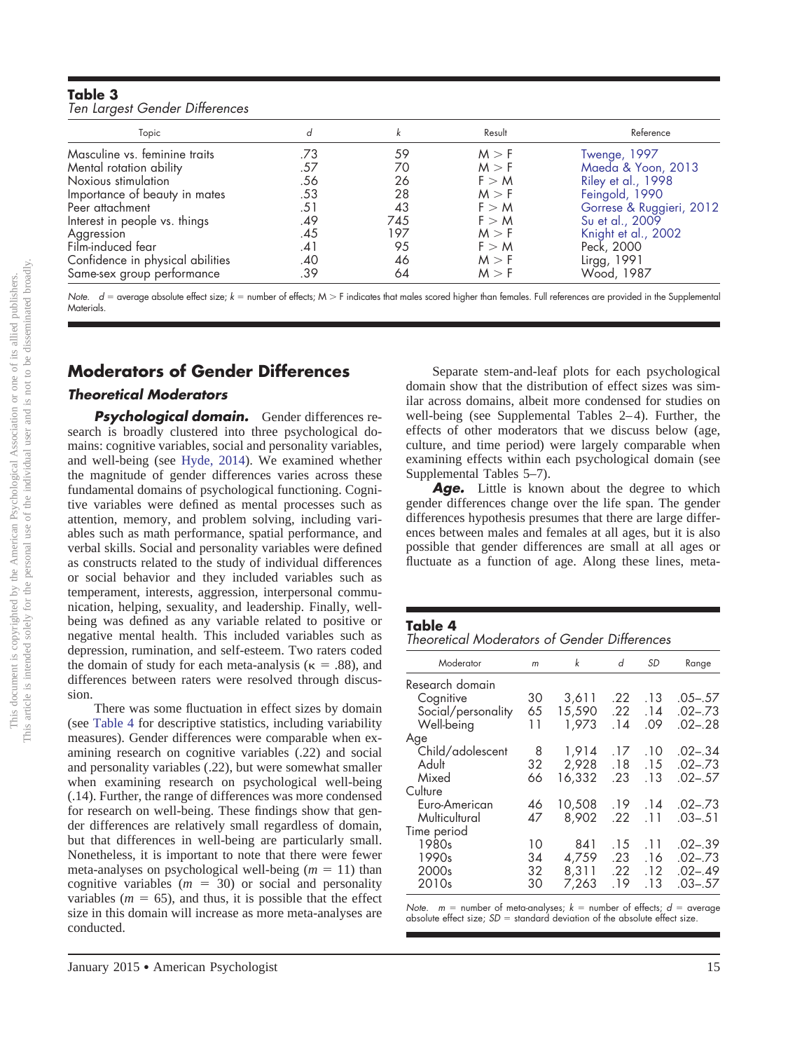<span id="page-5-0"></span>

| Table 3                        |  |
|--------------------------------|--|
| Ten Largest Gender Differences |  |

| Topic                            |     |     | Result | Reference                |
|----------------------------------|-----|-----|--------|--------------------------|
| Masculine vs. feminine traits    | .73 | 59  | M > F  | Twenge, 1997             |
| Mental rotation ability          | .57 | 70  | M > F  | Maeda & Yoon, 2013       |
| Noxious stimulation              | .56 | 26  | F > M  | Riley et al., 1998       |
| Importance of beauty in mates    | .53 | 28  | M > F  | Feingold, 1990           |
| Peer attachment                  | .51 | 43  | F > M  | Gorrese & Ruggieri, 2012 |
| Interest in people vs. things    | .49 | 745 | F > M  | Su et al., 2009          |
| Aggression                       | .45 | 197 | M > F  | Knight et al., 2002      |
| Film-induced fear                | .41 | 95  | F > M  | Peck, 2000               |
| Confidence in physical abilities | .40 | 46  | M > F  | Lirgg, 1991              |
| Same-sex group performance       | .39 | 64  | M > F  | Wood, 1987               |

Note.  $d$  = average absolute effect size;  $k$  = number of effects; M > F indicates that males scored higher than females. Full references are provided in the Supplemental Materials.

# **Moderators of Gender Differences**

## *Theoretical Moderators*

*Psychological domain.* Gender differences research is broadly clustered into three psychological domains: cognitive variables, social and personality variables, and well-being (see [Hyde, 2014\)](#page-9-8). We examined whether the magnitude of gender differences varies across these fundamental domains of psychological functioning. Cognitive variables were defined as mental processes such as attention, memory, and problem solving, including variables such as math performance, spatial performance, and verbal skills. Social and personality variables were defined as constructs related to the study of individual differences or social behavior and they included variables such as temperament, interests, aggression, interpersonal communication, helping, sexuality, and leadership. Finally, wellbeing was defined as any variable related to positive or negative mental health. This included variables such as depression, rumination, and self-esteem. Two raters coded the domain of study for each meta-analysis ( $\kappa = .88$ ), and differences between raters were resolved through discussion.

There was some fluctuation in effect sizes by domain (see [Table 4](#page-5-1) for descriptive statistics, including variability measures). Gender differences were comparable when examining research on cognitive variables (.22) and social and personality variables (.22), but were somewhat smaller when examining research on psychological well-being (.14). Further, the range of differences was more condensed for research on well-being. These findings show that gender differences are relatively small regardless of domain, but that differences in well-being are particularly small. Nonetheless, it is important to note that there were fewer meta-analyses on psychological well-being  $(m = 11)$  than cognitive variables  $(m = 30)$  or social and personality variables ( $m = 65$ ), and thus, it is possible that the effect size in this domain will increase as more meta-analyses are conducted.

Separate stem-and-leaf plots for each psychological domain show that the distribution of effect sizes was similar across domains, albeit more condensed for studies on well-being (see Supplemental Tables 2–4). Further, the effects of other moderators that we discuss below (age, culture, and time period) were largely comparable when examining effects within each psychological domain (see Supplemental Tables 5–7).

Age. Little is known about the degree to which gender differences change over the life span. The gender differences hypothesis presumes that there are large differences between males and females at all ages, but it is also possible that gender differences are small at all ages or fluctuate as a function of age. Along these lines, meta-

#### <span id="page-5-1"></span>**Table 4**

*Theoretical Moderators of Gender Differences*

| m  | k      | d     | <b>SD</b> | Range       |
|----|--------|-------|-----------|-------------|
|    |        |       |           |             |
| 30 | 3,611  | .22   | .13       | $.05 - .57$ |
| 65 | 15,590 | .22   | .14       | $.02 - .73$ |
| 11 | 1,973  | .14   | .09       | $.02 - .28$ |
|    |        |       |           |             |
| 8  | 1,914  | .17   | .10       | $.02 - .34$ |
| 32 | 2.928  | .18   | .15       | $.02 - .73$ |
| 66 | 16.332 | .23   | .13       | $.02 - .57$ |
|    |        |       |           |             |
| 46 | 10,508 | .19   | .14       | $.02 - .73$ |
| 47 | 8.902  | .22   | .11       | $.03 - .51$ |
|    |        |       |           |             |
| 10 | 841    | .15   | .11       | $.02 - .39$ |
| 34 | 4,759  | .23   | .16       | $.02 - .73$ |
| 32 | 8.311  | .22   | .12       | $.02 - .49$ |
| 30 |        | .19   | .13       | $.03 - .57$ |
|    |        | 7,263 |           |             |

*Note. m* = number of meta-analyses; *k* = number of effects; *d* = average absolute effect size;  $SD =$  standard deviation of the absolute effect size.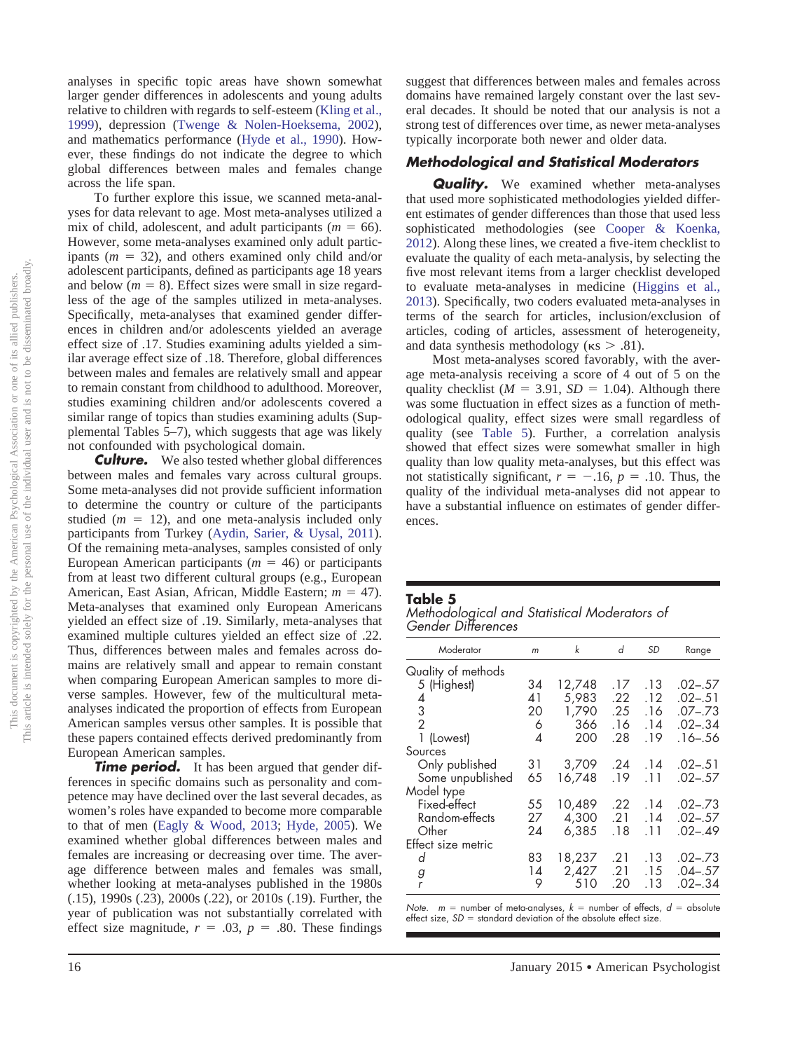analyses in specific topic areas have shown somewhat larger gender differences in adolescents and young adults relative to children with regards to self-esteem [\(Kling et al.,](#page-9-6) [1999\)](#page-9-6), depression [\(Twenge & Nolen-Hoeksema, 2002\)](#page-10-6), and mathematics performance [\(Hyde et al., 1990\)](#page-9-5). However, these findings do not indicate the degree to which global differences between males and females change across the life span.

To further explore this issue, we scanned meta-analyses for data relevant to age. Most meta-analyses utilized a mix of child, adolescent, and adult participants ( $m = 66$ ). However, some meta-analyses examined only adult participants  $(m = 32)$ , and others examined only child and/or adolescent participants, defined as participants age 18 years and below  $(m = 8)$ . Effect sizes were small in size regardless of the age of the samples utilized in meta-analyses. Specifically, meta-analyses that examined gender differences in children and/or adolescents yielded an average effect size of .17. Studies examining adults yielded a similar average effect size of .18. Therefore, global differences between males and females are relatively small and appear to remain constant from childhood to adulthood. Moreover, studies examining children and/or adolescents covered a similar range of topics than studies examining adults (Supplemental Tables 5–7), which suggests that age was likely not confounded with psychological domain.

**Culture.** We also tested whether global differences between males and females vary across cultural groups. Some meta-analyses did not provide sufficient information to determine the country or culture of the participants studied  $(m = 12)$ , and one meta-analysis included only participants from Turkey [\(Aydin, Sarier, & Uysal, 2011\)](#page-8-4). Of the remaining meta-analyses, samples consisted of only European American participants ( $m = 46$ ) or participants from at least two different cultural groups (e.g., European American, East Asian, African, Middle Eastern; *m* = 47). Meta-analyses that examined only European Americans yielded an effect size of .19. Similarly, meta-analyses that examined multiple cultures yielded an effect size of .22. Thus, differences between males and females across domains are relatively small and appear to remain constant when comparing European American samples to more diverse samples. However, few of the multicultural metaanalyses indicated the proportion of effects from European American samples versus other samples. It is possible that these papers contained effects derived predominantly from European American samples.

**Time period.** It has been argued that gender differences in specific domains such as personality and competence may have declined over the last several decades, as women's roles have expanded to become more comparable to that of men [\(Eagly & Wood, 2013;](#page-9-15) [Hyde, 2005\)](#page-9-0). We examined whether global differences between males and females are increasing or decreasing over time. The average difference between males and females was small, whether looking at meta-analyses published in the 1980s (.15), 1990s (.23), 2000s (.22), or 2010s (.19). Further, the year of publication was not substantially correlated with effect size magnitude,  $r = .03$ ,  $p = .80$ . These findings

suggest that differences between males and females across domains have remained largely constant over the last several decades. It should be noted that our analysis is not a strong test of differences over time, as newer meta-analyses typically incorporate both newer and older data.

# *Methodological and Statistical Moderators*

**Quality.** We examined whether meta-analyses that used more sophisticated methodologies yielded different estimates of gender differences than those that used less sophisticated methodologies (see [Cooper & Koenka,](#page-9-23) [2012\)](#page-9-23). Along these lines, we created a five-item checklist to evaluate the quality of each meta-analysis, by selecting the five most relevant items from a larger checklist developed to evaluate meta-analyses in medicine [\(Higgins et al.,](#page-9-35) [2013\)](#page-9-35). Specifically, two coders evaluated meta-analyses in terms of the search for articles, inclusion/exclusion of articles, coding of articles, assessment of heterogeneity, and data synthesis methodology ( $\kappa s > .81$ ).

Most meta-analyses scored favorably, with the average meta-analysis receiving a score of 4 out of 5 on the quality checklist  $(M = 3.91, SD = 1.04)$ . Although there was some fluctuation in effect sizes as a function of methodological quality, effect sizes were small regardless of quality (see [Table 5\)](#page-6-0). Further, a correlation analysis showed that effect sizes were somewhat smaller in high quality than low quality meta-analyses, but this effect was not statistically significant,  $r = -.16$ ,  $p = .10$ . Thus, the quality of the individual meta-analyses did not appear to have a substantial influence on estimates of gender differences.

#### <span id="page-6-0"></span>**Table 5**

*Methodological and Statistical Moderators of Gender Differences*

| Moderator          | m  | k      | d   | <b>SD</b> | Range       |
|--------------------|----|--------|-----|-----------|-------------|
| Quality of methods |    |        |     |           |             |
| 5 (Highest)        | 34 | 12,748 | .17 | .13       | $.02 - .57$ |
| 4                  | 41 | 5,983  | .22 | .12       | $.02 - .51$ |
| $\frac{3}{2}$      | 20 | 1,790  | .25 | .16       | $.07 - .73$ |
|                    | 6  | 366    | .16 | .14       | $.02 - .34$ |
| 1 (Lowest)         | 4  | 200    | .28 | .19       | $.16 - .56$ |
| Sources            |    |        |     |           |             |
| Only published     | 31 | 3,709  | .24 | .14       | $.02 - .51$ |
| Some unpublished   | 65 | 16.748 | .19 | .11       | $.02 - .57$ |
| Model type         |    |        |     |           |             |
| Fixed-effect       | 55 | 10,489 | .22 | .14       | $.02 - .73$ |
| Random-effects     | 27 | 4,300  | .21 | .14       | $.02 - .57$ |
| Other              | 24 | 6,385  | .18 | .11       | $.02 - .49$ |
| Effect size metric |    |        |     |           |             |
| d                  | 83 | 18,237 | .21 | .13       | $.02 - .73$ |
| g                  | 14 | 2.427  | .21 | .15       | $.04 - .57$ |
|                    | 9  | 510    | .20 | .13       | $.02 - .34$ |

*Note.*  $m =$  number of meta-analyses,  $k =$  number of effects,  $d =$  absolute effect size, *SD* = standard deviation of the absolute effect size.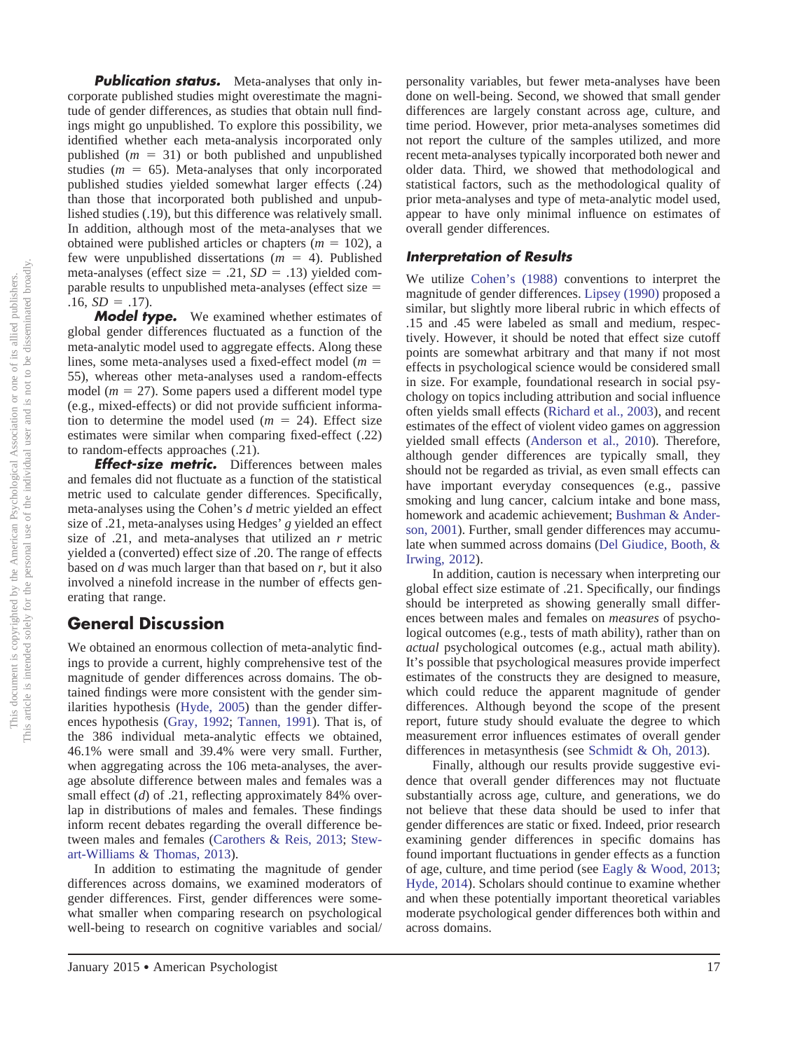**Publication status.** Meta-analyses that only incorporate published studies might overestimate the magnitude of gender differences, as studies that obtain null findings might go unpublished. To explore this possibility, we identified whether each meta-analysis incorporated only published  $(m = 31)$  or both published and unpublished studies  $(m = 65)$ . Meta-analyses that only incorporated published studies yielded somewhat larger effects (.24) than those that incorporated both published and unpublished studies (.19), but this difference was relatively small. In addition, although most of the meta-analyses that we obtained were published articles or chapters  $(m = 102)$ , a few were unpublished dissertations  $(m = 4)$ . Published meta-analyses (effect size  $= .21$ ,  $SD = .13$ ) yielded comparable results to unpublished meta-analyses (effect size  $=$  $.16, SD = .17$ ).

*Model type.* We examined whether estimates of global gender differences fluctuated as a function of the meta-analytic model used to aggregate effects. Along these lines, some meta-analyses used a fixed-effect model  $(m =$ 55), whereas other meta-analyses used a random-effects model  $(m = 27)$ . Some papers used a different model type (e.g., mixed-effects) or did not provide sufficient information to determine the model used  $(m = 24)$ . Effect size estimates were similar when comparing fixed-effect (.22) to random-effects approaches (.21).

*Effect-size metric.* Differences between males and females did not fluctuate as a function of the statistical metric used to calculate gender differences. Specifically, meta-analyses using the Cohen's *d* metric yielded an effect size of .21, meta-analyses using Hedges' *g* yielded an effect size of .21, and meta-analyses that utilized an *r* metric yielded a (converted) effect size of .20. The range of effects based on *d* was much larger than that based on *r*, but it also involved a ninefold increase in the number of effects generating that range.

# **General Discussion**

We obtained an enormous collection of meta-analytic findings to provide a current, highly comprehensive test of the magnitude of gender differences across domains. The obtained findings were more consistent with the gender similarities hypothesis [\(Hyde, 2005\)](#page-9-0) than the gender differences hypothesis [\(Gray, 1992;](#page-9-1) [Tannen, 1991\)](#page-10-1). That is, of the 386 individual meta-analytic effects we obtained, 46.1% were small and 39.4% were very small. Further, when aggregating across the 106 meta-analyses, the average absolute difference between males and females was a small effect (*d*) of .21, reflecting approximately 84% overlap in distributions of males and females. These findings inform recent debates regarding the overall difference between males and females [\(Carothers & Reis, 2013;](#page-9-14) [Stew](#page-10-2)[art-Williams & Thomas, 2013\)](#page-10-2).

In addition to estimating the magnitude of gender differences across domains, we examined moderators of gender differences. First, gender differences were somewhat smaller when comparing research on psychological well-being to research on cognitive variables and social/

January 2015 • American Psychologist 17

personality variables, but fewer meta-analyses have been done on well-being. Second, we showed that small gender differences are largely constant across age, culture, and time period. However, prior meta-analyses sometimes did not report the culture of the samples utilized, and more recent meta-analyses typically incorporated both newer and older data. Third, we showed that methodological and statistical factors, such as the methodological quality of prior meta-analyses and type of meta-analytic model used, appear to have only minimal influence on estimates of overall gender differences.

#### *Interpretation of Results*

We utilize [Cohen's \(1988\)](#page-9-13) conventions to interpret the magnitude of gender differences. [Lipsey \(1990\)](#page-9-36) proposed a similar, but slightly more liberal rubric in which effects of .15 and .45 were labeled as small and medium, respectively. However, it should be noted that effect size cutoff points are somewhat arbitrary and that many if not most effects in psychological science would be considered small in size. For example, foundational research in social psychology on topics including attribution and social influence often yields small effects [\(Richard et al., 2003\)](#page-9-11), and recent estimates of the effect of violent video games on aggression yielded small effects [\(Anderson et al., 2010\)](#page-8-5). Therefore, although gender differences are typically small, they should not be regarded as trivial, as even small effects can have important everyday consequences (e.g., passive smoking and lung cancer, calcium intake and bone mass, homework and academic achievement; [Bushman & Ander](#page-9-37)[son, 2001\)](#page-9-37). Further, small gender differences may accumulate when summed across domains [\(Del Giudice, Booth, &](#page-9-38) [Irwing, 2012\)](#page-9-38).

In addition, caution is necessary when interpreting our global effect size estimate of .21. Specifically, our findings should be interpreted as showing generally small differences between males and females on *measures* of psychological outcomes (e.g., tests of math ability), rather than on *actual* psychological outcomes (e.g., actual math ability). It's possible that psychological measures provide imperfect estimates of the constructs they are designed to measure, which could reduce the apparent magnitude of gender differences. Although beyond the scope of the present report, future study should evaluate the degree to which measurement error influences estimates of overall gender differences in metasynthesis (see [Schmidt & Oh, 2013\)](#page-9-39).

Finally, although our results provide suggestive evidence that overall gender differences may not fluctuate substantially across age, culture, and generations, we do not believe that these data should be used to infer that gender differences are static or fixed. Indeed, prior research examining gender differences in specific domains has found important fluctuations in gender effects as a function of age, culture, and time period (see [Eagly & Wood, 2013;](#page-9-15) [Hyde, 2014\)](#page-9-8). Scholars should continue to examine whether and when these potentially important theoretical variables moderate psychological gender differences both within and across domains.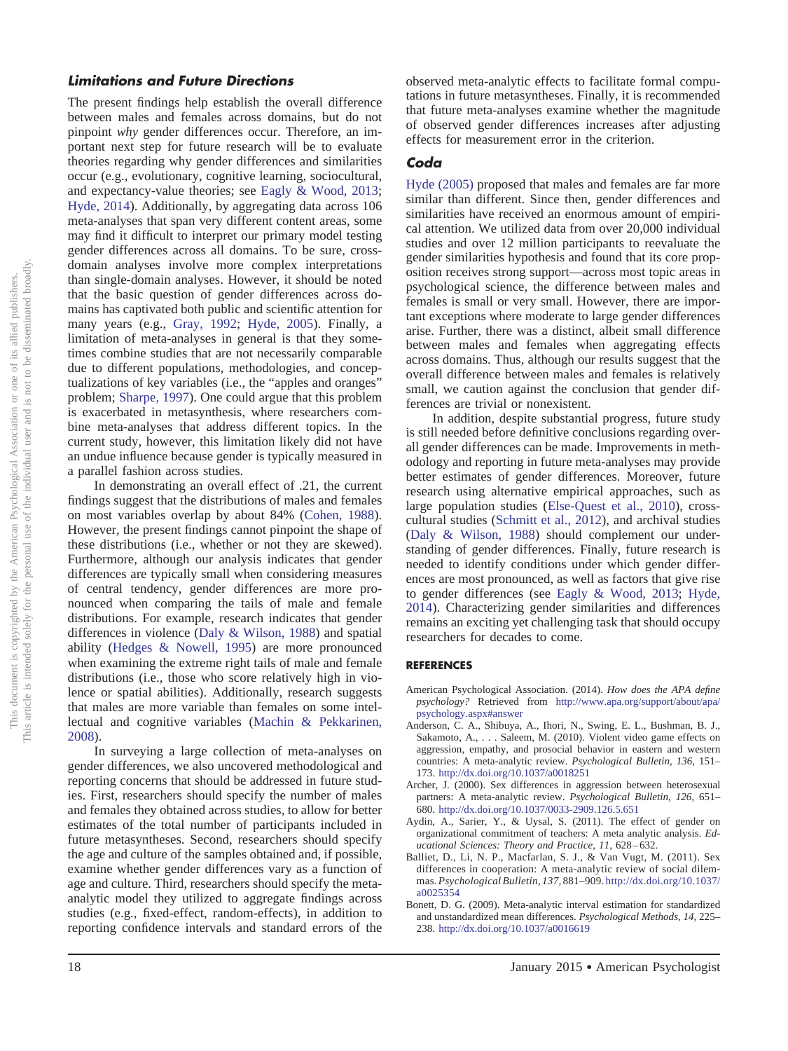#### *Limitations and Future Directions*

The present findings help establish the overall difference between males and females across domains, but do not pinpoint *why* gender differences occur. Therefore, an important next step for future research will be to evaluate theories regarding why gender differences and similarities occur (e.g., evolutionary, cognitive learning, sociocultural, and expectancy-value theories; see [Eagly & Wood, 2013;](#page-9-15) [Hyde, 2014\)](#page-9-8). Additionally, by aggregating data across 106 meta-analyses that span very different content areas, some may find it difficult to interpret our primary model testing gender differences across all domains. To be sure, crossdomain analyses involve more complex interpretations than single-domain analyses. However, it should be noted that the basic question of gender differences across domains has captivated both public and scientific attention for many years (e.g., [Gray, 1992;](#page-9-1) [Hyde, 2005\)](#page-9-0). Finally, a limitation of meta-analyses in general is that they sometimes combine studies that are not necessarily comparable due to different populations, methodologies, and conceptualizations of key variables (i.e., the "apples and oranges" problem; [Sharpe, 1997\)](#page-9-40). One could argue that this problem is exacerbated in metasynthesis, where researchers combine meta-analyses that address different topics. In the current study, however, this limitation likely did not have an undue influence because gender is typically measured in a parallel fashion across studies.

In demonstrating an overall effect of .21, the current findings suggest that the distributions of males and females on most variables overlap by about 84% [\(Cohen, 1988\)](#page-9-13). However, the present findings cannot pinpoint the shape of these distributions (i.e., whether or not they are skewed). Furthermore, although our analysis indicates that gender differences are typically small when considering measures of central tendency, gender differences are more pronounced when comparing the tails of male and female distributions. For example, research indicates that gender differences in violence [\(Daly & Wilson, 1988\)](#page-9-41) and spatial ability [\(Hedges & Nowell, 1995\)](#page-9-42) are more pronounced when examining the extreme right tails of male and female distributions (i.e., those who score relatively high in violence or spatial abilities). Additionally, research suggests that males are more variable than females on some intellectual and cognitive variables [\(Machin & Pekkarinen,](#page-9-43) [2008\)](#page-9-43).

In surveying a large collection of meta-analyses on gender differences, we also uncovered methodological and reporting concerns that should be addressed in future studies. First, researchers should specify the number of males and females they obtained across studies, to allow for better estimates of the total number of participants included in future metasyntheses. Second, researchers should specify the age and culture of the samples obtained and, if possible, examine whether gender differences vary as a function of age and culture. Third, researchers should specify the metaanalytic model they utilized to aggregate findings across studies (e.g., fixed-effect, random-effects), in addition to reporting confidence intervals and standard errors of the

observed meta-analytic effects to facilitate formal computations in future metasyntheses. Finally, it is recommended that future meta-analyses examine whether the magnitude of observed gender differences increases after adjusting effects for measurement error in the criterion.

# *Coda*

[Hyde \(2005\)](#page-9-0) proposed that males and females are far more similar than different. Since then, gender differences and similarities have received an enormous amount of empirical attention. We utilized data from over 20,000 individual studies and over 12 million participants to reevaluate the gender similarities hypothesis and found that its core proposition receives strong support—across most topic areas in psychological science, the difference between males and females is small or very small. However, there are important exceptions where moderate to large gender differences arise. Further, there was a distinct, albeit small difference between males and females when aggregating effects across domains. Thus, although our results suggest that the overall difference between males and females is relatively small, we caution against the conclusion that gender differences are trivial or nonexistent.

In addition, despite substantial progress, future study is still needed before definitive conclusions regarding overall gender differences can be made. Improvements in methodology and reporting in future meta-analyses may provide better estimates of gender differences. Moreover, future research using alternative empirical approaches, such as large population studies [\(Else-Quest et al., 2010\)](#page-9-9), crosscultural studies [\(Schmitt et al., 2012\)](#page-9-18), and archival studies [\(Daly & Wilson, 1988\)](#page-9-41) should complement our understanding of gender differences. Finally, future research is needed to identify conditions under which gender differences are most pronounced, as well as factors that give rise to gender differences (see [Eagly & Wood, 2013;](#page-9-15) [Hyde,](#page-9-8) [2014\)](#page-9-8). Characterizing gender similarities and differences remains an exciting yet challenging task that should occupy researchers for decades to come.

#### **REFERENCES**

- <span id="page-8-2"></span>American Psychological Association. (2014). *How does the APA define psychology?* Retrieved from [http://www.apa.org/support/about/apa/](http://www.%20apa.org/support/about/apa/psychology.aspx%23answer) [psychology.aspx#answer](http://www.%20apa.org/support/about/apa/psychology.aspx%23answer)
- <span id="page-8-5"></span>Anderson, C. A., Shibuya, A., Ihori, N., Swing, E. L., Bushman, B. J., Sakamoto, A.,... Saleem, M. (2010). Violent video game effects on aggression, empathy, and prosocial behavior in eastern and western countries: A meta-analytic review. *Psychological Bulletin, 136,* 151– 173. <http://dx.doi.org/10.1037/a0018251>
- <span id="page-8-0"></span>Archer, J. (2000). Sex differences in aggression between heterosexual partners: A meta-analytic review. *Psychological Bulletin, 126,* 651– 680. <http://dx.doi.org/10.1037/0033-2909.126.5.651>
- <span id="page-8-4"></span>Aydin, A., Sarier, Y., & Uysal, S. (2011). The effect of gender on organizational commitment of teachers: A meta analytic analysis. *Educational Sciences: Theory and Practice, 11,* 628–632.
- <span id="page-8-1"></span>Balliet, D., Li, N. P., Macfarlan, S. J., & Van Vugt, M. (2011). Sex differences in cooperation: A meta-analytic review of social dilemmas.*PsychologicalBulletin,137,* 881–909. [http://dx.doi.org/10.1037/](http://dx.doi.org/10.1037/a0025354) [a0025354](http://dx.doi.org/10.1037/a0025354)
- <span id="page-8-3"></span>Bonett, D. G. (2009). Meta-analytic interval estimation for standardized and unstandardized mean differences. *Psychological Methods, 14,* 225– 238. <http://dx.doi.org/10.1037/a0016619>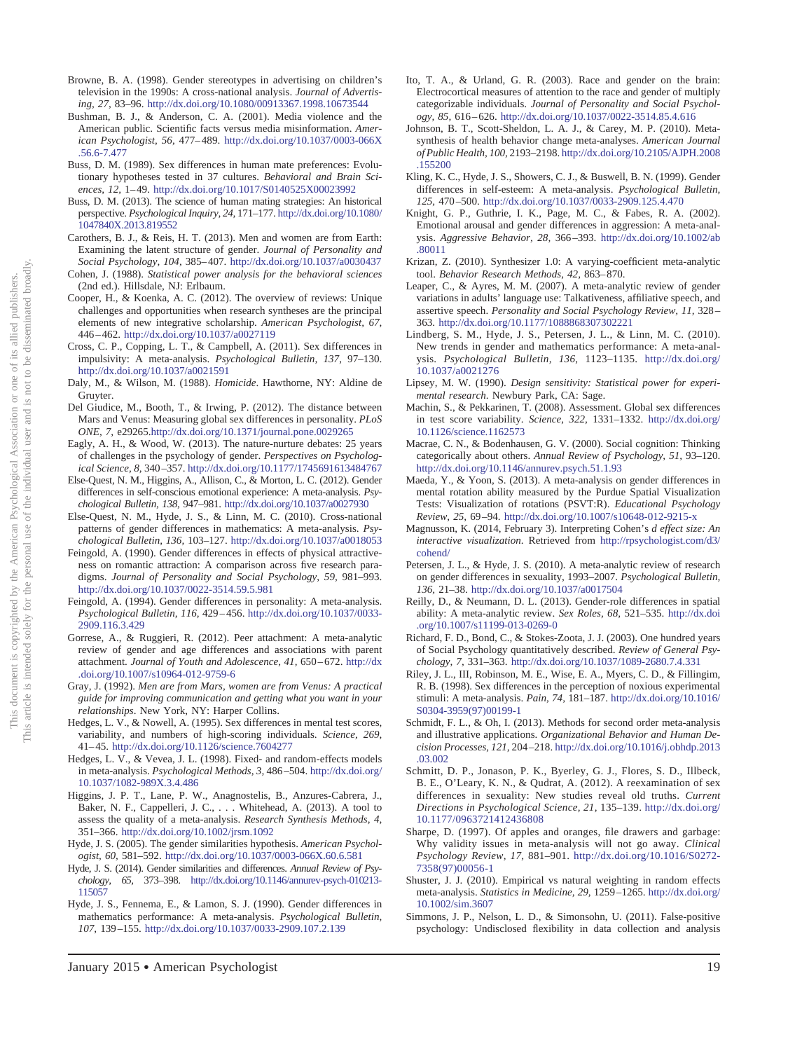- <span id="page-9-4"></span>Browne, B. A. (1998). Gender stereotypes in advertising on children's television in the 1990s: A cross-national analysis. *Journal of Advertising, 27,* 83–96. <http://dx.doi.org/10.1080/00913367.1998.10673544>
- <span id="page-9-37"></span>Bushman, B. J., & Anderson, C. A. (2001). Media violence and the American public. Scientific facts versus media misinformation. *American Psychologist, 56,* 477–489. [http://dx.doi.org/10.1037/0003-066X](http://dx.doi.org/10.1037/0003-066X.56.6-7.477) [.56.6-7.477](http://dx.doi.org/10.1037/0003-066X.56.6-7.477)
- <span id="page-9-16"></span>Buss, D. M. (1989). Sex differences in human mate preferences: Evolutionary hypotheses tested in 37 cultures. *Behavioral and Brain Sciences, 12,* 1–49. <http://dx.doi.org/10.1017/S0140525X00023992>
- <span id="page-9-17"></span>Buss, D. M. (2013). The science of human mating strategies: An historical perspective. *Psychological Inquiry, 24,* 171–177. [http://dx.doi.org/10.1080/](http://dx.doi.org/10.1080/1047840X.2013.819552) [1047840X.2013.819552](http://dx.doi.org/10.1080/1047840X.2013.819552)
- <span id="page-9-14"></span>Carothers, B. J., & Reis, H. T. (2013). Men and women are from Earth: Examining the latent structure of gender. *Journal of Personality and Social Psychology, 104,* 385–407. <http://dx.doi.org/10.1037/a0030437>
- <span id="page-9-13"></span>Cohen, J. (1988). *Statistical power analysis for the behavioral sciences* (2nd ed.). Hillsdale, NJ: Erlbaum.
- <span id="page-9-23"></span>Cooper, H., & Koenka, A. C. (2012). The overview of reviews: Unique challenges and opportunities when research syntheses are the principal elements of new integrative scholarship. *American Psychologist, 67,* 446–462. <http://dx.doi.org/10.1037/a0027119>
- <span id="page-9-19"></span>Cross, C. P., Copping, L. T., & Campbell, A. (2011). Sex differences in impulsivity: A meta-analysis. *Psychological Bulletin, 137,* 97–130. <http://dx.doi.org/10.1037/a0021591>
- <span id="page-9-41"></span>Daly, M., & Wilson, M. (1988). *Homicide*. Hawthorne, NY: Aldine de Gruyter.
- <span id="page-9-38"></span>Del Giudice, M., Booth, T., & Irwing, P. (2012). The distance between Mars and Venus: Measuring global sex differences in personality. *PLoS ONE, 7,* e29265[.http://dx.doi.org/10.1371/journal.pone.0029265](http://dx.doi.org/10.1371/journal.pone.0029265)
- <span id="page-9-15"></span>Eagly, A. H., & Wood, W. (2013). The nature-nurture debates: 25 years of challenges in the psychology of gender. *Perspectives on Psychological Science, 8,* 340–357. <http://dx.doi.org/10.1177/1745691613484767>
- <span id="page-9-20"></span>Else-Quest, N. M., Higgins, A., Allison, C., & Morton, L. C. (2012). Gender differences in self-conscious emotional experience: A meta-analysis. *Psychological Bulletin, 138,* 947–981. <http://dx.doi.org/10.1037/a0027930>
- <span id="page-9-9"></span>Else-Quest, N. M., Hyde, J. S., & Linn, M. C. (2010). Cross-national patterns of gender differences in mathematics: A meta-analysis. *Psychological Bulletin, 136,* 103–127. <http://dx.doi.org/10.1037/a0018053>
- <span id="page-9-32"></span>Feingold, A. (1990). Gender differences in effects of physical attractiveness on romantic attraction: A comparison across five research paradigms. *Journal of Personality and Social Psychology, 59,* 981–993. <http://dx.doi.org/10.1037/0022-3514.59.5.981>
- <span id="page-9-7"></span>Feingold, A. (1994). Gender differences in personality: A meta-analysis. *Psychological Bulletin, 116,* 429–456. [http://dx.doi.org/10.1037/0033-](http://dx.doi.org/10.1037/0033-2909.116.3.429) [2909.116.3.429](http://dx.doi.org/10.1037/0033-2909.116.3.429)
- <span id="page-9-33"></span>Gorrese, A., & Ruggieri, R. (2012). Peer attachment: A meta-analytic review of gender and age differences and associations with parent attachment. *Journal of Youth and Adolescence, 41,* 650–672. [http://dx](http://dx.doi.org/10.1007/s10964-012-9759-6) [.doi.org/10.1007/s10964-012-9759-6](http://dx.doi.org/10.1007/s10964-012-9759-6)
- <span id="page-9-1"></span>Gray, J. (1992). *Men are from Mars, women are from Venus: A practical guide for improving communication and getting what you want in your relationships*. New York, NY: Harper Collins.
- <span id="page-9-42"></span>Hedges, L. V., & Nowell, A. (1995). Sex differences in mental test scores, variability, and numbers of high-scoring individuals. *Science, 269,* 41–45. <http://dx.doi.org/10.1126/science.7604277>
- <span id="page-9-28"></span>Hedges, L. V., & Vevea, J. L. (1998). Fixed- and random-effects models in meta-analysis. *Psychological Methods, 3,* 486–504. [http://dx.doi.org/](http://dx.doi.org/10.1037/1082-989X.3.4.486) [10.1037/1082-989X.3.4.486](http://dx.doi.org/10.1037/1082-989X.3.4.486)
- <span id="page-9-35"></span>Higgins, J. P. T., Lane, P. W., Anagnostelis, B., Anzures-Cabrera, J., Baker, N. F., Cappelleri, J. C.,... Whitehead, A. (2013). A tool to assess the quality of a meta-analysis. *Research Synthesis Methods, 4,* 351–366. <http://dx.doi.org/10.1002/jrsm.1092>
- <span id="page-9-0"></span>Hyde, J. S. (2005). The gender similarities hypothesis. *American Psychologist, 60,* 581–592. <http://dx.doi.org/10.1037/0003-066X.60.6.581>
- <span id="page-9-8"></span>Hyde, J. S. (2014). Gender similarities and differences. *Annual Review of Psychology, 65,* 373–398. [http://dx.doi.org/10.1146/annurev-psych-010213-](http://dx.doi.org/10.1146/annurev-psych-010213-115057) [115057](http://dx.doi.org/10.1146/annurev-psych-010213-115057)
- <span id="page-9-5"></span>Hyde, J. S., Fennema, E., & Lamon, S. J. (1990). Gender differences in mathematics performance: A meta-analysis. *Psychological Bulletin, 107,* 139–155. <http://dx.doi.org/10.1037/0033-2909.107.2.139>
- <span id="page-9-3"></span>Ito, T. A., & Urland, G. R. (2003). Race and gender on the brain: Electrocortical measures of attention to the race and gender of multiply categorizable individuals. *Journal of Personality and Social Psychology, 85,* 616–626. <http://dx.doi.org/10.1037/0022-3514.85.4.616>
- <span id="page-9-12"></span>Johnson, B. T., Scott-Sheldon, L. A. J., & Carey, M. P. (2010). Metasynthesis of health behavior change meta-analyses. *American Journal of Public Health, 100,* 2193–2198. [http://dx.doi.org/10.2105/AJPH.2008](http://dx.doi.org/10.2105/AJPH.2008.155200) [.155200](http://dx.doi.org/10.2105/AJPH.2008.155200)
- <span id="page-9-6"></span>Kling, K. C., Hyde, J. S., Showers, C. J., & Buswell, B. N. (1999). Gender differences in self-esteem: A meta-analysis. *Psychological Bulletin, 125,* 470–500. <http://dx.doi.org/10.1037/0033-2909.125.4.470>
- <span id="page-9-34"></span>Knight, G. P., Guthrie, I. K., Page, M. C., & Fabes, R. A. (2002). Emotional arousal and gender differences in aggression: A meta-analysis. *Aggressive Behavior, 28,* 366–393. [http://dx.doi.org/10.1002/ab](http://dx.doi.org/10.1002/ab.80011) [.80011](http://dx.doi.org/10.1002/ab.80011)
- <span id="page-9-26"></span>Krizan, Z. (2010). Synthesizer 1.0: A varying-coefficient meta-analytic tool. *Behavior Research Methods, 42,* 863–870.
- <span id="page-9-21"></span>Leaper, C., & Ayres, M. M. (2007). A meta-analytic review of gender variations in adults' language use: Talkativeness, affiliative speech, and assertive speech. *Personality and Social Psychology Review, 11,* 328– 363. <http://dx.doi.org/10.1177/1088868307302221>
- <span id="page-9-10"></span>Lindberg, S. M., Hyde, J. S., Petersen, J. L., & Linn, M. C. (2010). New trends in gender and mathematics performance: A meta-analysis. *Psychological Bulletin, 136,* 1123–1135. [http://dx.doi.org/](http://dx.doi.org/10.1037/a0021276) [10.1037/a0021276](http://dx.doi.org/10.1037/a0021276)
- <span id="page-9-36"></span>Lipsey, M. W. (1990). *Design sensitivity: Statistical power for experimental research*. Newbury Park, CA: Sage.
- <span id="page-9-43"></span>Machin, S., & Pekkarinen, T. (2008). Assessment. Global sex differences in test score variability. *Science, 322,* 1331–1332. [http://dx.doi.org/](http://dx.doi.org/10.1126/science.1162573) [10.1126/science.1162573](http://dx.doi.org/10.1126/science.1162573)
- <span id="page-9-2"></span>Macrae, C. N., & Bodenhausen, G. V. (2000). Social cognition: Thinking categorically about others. *Annual Review of Psychology, 51,* 93–120. <http://dx.doi.org/10.1146/annurev.psych.51.1.93>
- <span id="page-9-30"></span>Maeda, Y., & Yoon, S. (2013). A meta-analysis on gender differences in mental rotation ability measured by the Purdue Spatial Visualization Tests: Visualization of rotations (PSVT:R). *Educational Psychology Review, 25,* 69–94. <http://dx.doi.org/10.1007/s10648-012-9215-x>
- <span id="page-9-29"></span>Magnusson, K. (2014, February 3). Interpreting Cohen's *d effect size: An interactive visualization*. Retrieved from [http://rpsychologist.com/d3/](http://rpsychologist.com/d3/cohend/) [cohend/](http://rpsychologist.com/d3/cohend/)
- <span id="page-9-22"></span>Petersen, J. L., & Hyde, J. S. (2010). A meta-analytic review of research on gender differences in sexuality, 1993–2007. *Psychological Bulletin, 136,* 21–38. <http://dx.doi.org/10.1037/a0017504>
- <span id="page-9-25"></span>Reilly, D., & Neumann, D. L. (2013). Gender-role differences in spatial ability: A meta-analytic review. *Sex Roles, 68,* 521–535. [http://dx.doi](http://dx.doi.org/10.1007/s11199-013-0269-0) [.org/10.1007/s11199-013-0269-0](http://dx.doi.org/10.1007/s11199-013-0269-0)
- <span id="page-9-11"></span>Richard, F. D., Bond, C., & Stokes-Zoota, J. J. (2003). One hundred years of Social Psychology quantitatively described. *Review of General Psychology, 7,* 331–363. <http://dx.doi.org/10.1037/1089-2680.7.4.331>
- <span id="page-9-31"></span>Riley, J. L., III, Robinson, M. E., Wise, E. A., Myers, C. D., & Fillingim, R. B. (1998). Sex differences in the perception of noxious experimental stimuli: A meta-analysis. *Pain, 74,* 181–187. [http://dx.doi.org/10.1016/](http://dx.doi.org/10.1016/S0304-3959%2897%2900199-1) [S0304-3959\(97\)00199-1](http://dx.doi.org/10.1016/S0304-3959%2897%2900199-1)
- <span id="page-9-39"></span>Schmidt, F. L., & Oh, I. (2013). Methods for second order meta-analysis and illustrative applications. *Organizational Behavior and Human Decision Processes, 121,* 204–218. [http://dx.doi.org/10.1016/j.obhdp.2013](http://dx.doi.org/10.1016/j.obhdp.2013.03.002) [.03.002](http://dx.doi.org/10.1016/j.obhdp.2013.03.002)
- <span id="page-9-18"></span>Schmitt, D. P., Jonason, P. K., Byerley, G. J., Flores, S. D., Illbeck, B. E., O'Leary, K. N., & Qudrat, A. (2012). A reexamination of sex differences in sexuality: New studies reveal old truths. *Current Directions in Psychological Science, 21,* 135–139. [http://dx.doi.org/](http://dx.doi.org/10.1177/0963721412436808) [10.1177/0963721412436808](http://dx.doi.org/10.1177/0963721412436808)
- <span id="page-9-40"></span>Sharpe, D. (1997). Of apples and oranges, file drawers and garbage: Why validity issues in meta-analysis will not go away. *Clinical Psychology Review, 17,* 881–901. [http://dx.doi.org/10.1016/S0272-](http://dx.doi.org/10.1016/S0272-7358%2897%2900056-1) [7358\(97\)00056-1](http://dx.doi.org/10.1016/S0272-7358%2897%2900056-1)
- <span id="page-9-27"></span>Shuster, J. J. (2010). Empirical vs natural weighting in random effects meta-analysis. *Statistics in Medicine, 29,* 1259–1265. [http://dx.doi.org/](http://dx.doi.org/10.1002/sim.3607) [10.1002/sim.3607](http://dx.doi.org/10.1002/sim.3607)
- <span id="page-9-24"></span>Simmons, J. P., Nelson, L. D., & Simonsohn, U. (2011). False-positive psychology: Undisclosed flexibility in data collection and analysis